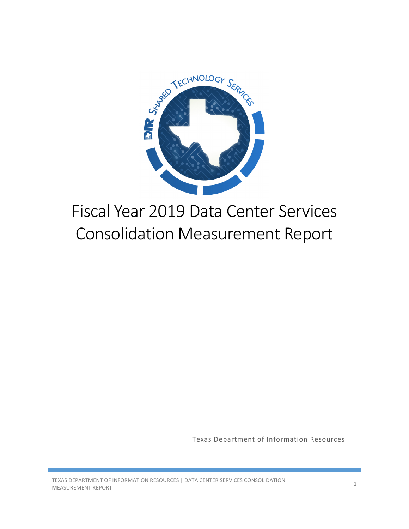

# Fiscal Year 2019 Data Center Services Consolidation Measurement Report

Texas Department of Information Resources

TEXAS DEPARTMENT OF INFORMATION RESOURCES | DATA CENTER SERVICES CONSOLIDATION 1<br>MEASUREMENT REPORT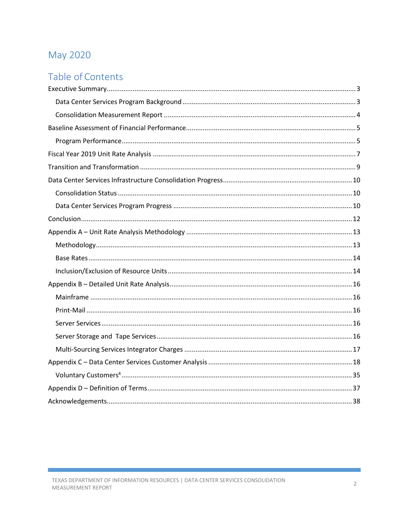# May 2020

# Table of Contents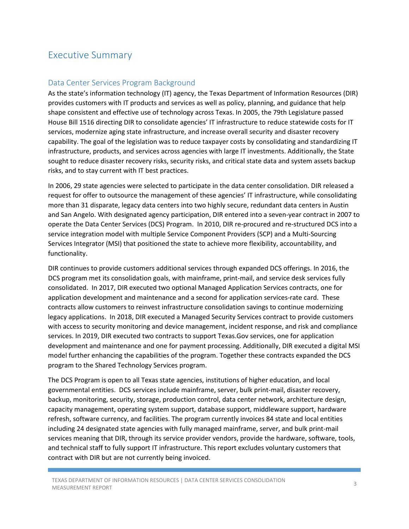# <span id="page-2-0"></span>Executive Summary

#### <span id="page-2-1"></span>Data Center Services Program Background

As the state's information technology (IT) agency, the Texas Department of Information Resources (DIR) provides customers with IT products and services as well as policy, planning, and guidance that help shape consistent and effective use of technology across Texas. In 2005, the 79th Legislature passed House Bill 1516 directing DIR to consolidate agencies' IT infrastructure to reduce statewide costs for IT services, modernize aging state infrastructure, and increase overall security and disaster recovery capability. The goal of the legislation was to reduce taxpayer costs by consolidating and standardizing IT infrastructure, products, and services across agencies with large IT investments. Additionally, the State sought to reduce disaster recovery risks, security risks, and critical state data and system assets backup risks, and to stay current with IT best practices.

In 2006, 29 state agencies were selected to participate in the data center consolidation. DIR released a request for offer to outsource the management of these agencies' IT infrastructure, while consolidating more than 31 disparate, legacy data centers into two highly secure, redundant data centers in Austin and San Angelo. With designated agency participation, DIR entered into a seven-year contract in 2007 to operate the Data Center Services (DCS) Program. In 2010, DIR re-procured and re-structured DCS into a service integration model with multiple Service Component Providers (SCP) and a Multi-Sourcing Services Integrator (MSI) that positioned the state to achieve more flexibility, accountability, and functionality.

DIR continues to provide customers additional services through expanded DCS offerings. In 2016, the DCS program met its consolidation goals, with mainframe, print-mail, and service desk services fully consolidated. In 2017, DIR executed two optional Managed Application Services contracts, one for application development and maintenance and a second for application services-rate card. These contracts allow customers to reinvest infrastructure consolidation savings to continue modernizing legacy applications. In 2018, DIR executed a Managed Security Services contract to provide customers with access to security monitoring and device management, incident response, and risk and compliance services. In 2019, DIR executed two contracts to support Texas.Gov services, one for application development and maintenance and one for payment processing. Additionally, DIR executed a digital MSI model further enhancing the capabilities of the program. Together these contracts expanded the DCS program to the Shared Technology Services program.

The DCS Program is open to all Texas state agencies, institutions of higher education, and local governmental entities. DCS services include mainframe, server, bulk print-mail, disaster recovery, backup, monitoring, security, storage, production control, data center network, architecture design, capacity management, operating system support, database support, middleware support, hardware refresh, software currency, and facilities. The program currently invoices 84 state and local entities including 24 designated state agencies with fully managed mainframe, server, and bulk print-mail services meaning that DIR, through its service provider vendors, provide the hardware, software, tools, and technical staff to fully support IT infrastructure. This report excludes voluntary customers that contract with DIR but are not currently being invoiced.

TEXAS DEPARTMENT OF INFORMATION RESOURCES | DATA CENTER SERVICES CONSOLIDATION 3<br>MEASUREMENT REPORT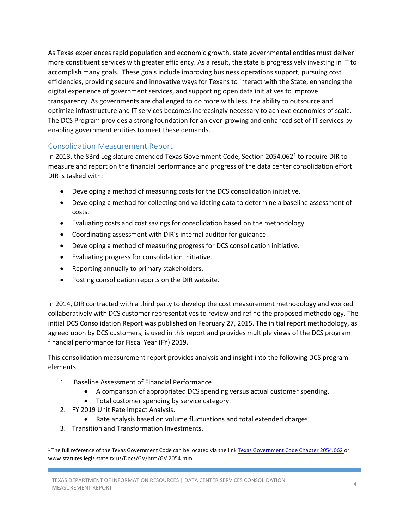As Texas experiences rapid population and economic growth, state governmental entities must deliver more constituent services with greater efficiency. As a result, the state is progressively investing in IT to accomplish many goals. These goals include improving business operations support, pursuing cost efficiencies, providing secure and innovative ways for Texans to interact with the State, enhancing the digital experience of government services, and supporting open data initiatives to improve transparency. As governments are challenged to do more with less, the ability to outsource and optimize infrastructure and IT services becomes increasingly necessary to achieve economies of scale. The DCS Program provides a strong foundation for an ever-growing and enhanced set of IT services by enabling government entities to meet these demands.

#### <span id="page-3-0"></span>Consolidation Measurement Report

In 2013, the 83rd Legislature amended Texas Government Code, Section 2054.062[1](#page-3-1) to require DIR to measure and report on the financial performance and progress of the data center consolidation effort DIR is tasked with:

- Developing a method of measuring costs for the DCS consolidation initiative.
- Developing a method for collecting and validating data to determine a baseline assessment of costs.
- Evaluating costs and cost savings for consolidation based on the methodology.
- Coordinating assessment with DIR's internal auditor for guidance.
- Developing a method of measuring progress for DCS consolidation initiative.
- Evaluating progress for consolidation initiative.
- Reporting annually to primary stakeholders.
- Posting consolidation reports on the DIR website.

In 2014, DIR contracted with a third party to develop the cost measurement methodology and worked collaboratively with DCS customer representatives to review and refine the proposed methodology. The initial DCS Consolidation Report was published on February 27, 2015. The initial report methodology, as agreed upon by DCS customers, is used in this report and provides multiple views of the DCS program financial performance for Fiscal Year (FY) 2019.

This consolidation measurement report provides analysis and insight into the following DCS program elements:

- 1. Baseline Assessment of Financial Performance
	- A comparison of appropriated DCS spending versus actual customer spending.
	- Total customer spending by service category.
- 2. FY 2019 Unit Rate impact Analysis.
	- Rate analysis based on volume fluctuations and total extended charges.
- 3. Transition and Transformation Investments.

<span id="page-3-1"></span><sup>&</sup>lt;sup>1</sup> The full reference of the Texas Government Code can be located via the lin[k Texas Government Code Chapter 2054.0](https://urldefense.proofpoint.com/v2/url?u=http-3A__www.statutes.legis.state.tx.us_Docs_GV_htm_GV.2054.htm&d=AwIFAg&c=qRq7a-87GiVVW7v8KD1gdQ&r=-UCHe6J4u6alDkGq8ampREipepFh2EpKJlhXE32aBR8&m=LKrn7JBLHOCSmXU2WkxvpobIFChz4PlI8a3VybGL5Zc&s=H4y8csyduEENvdhirYWXwJF7fmllXrHt0flZ9Z7MBR8&e)62 or www.statutes.legis.state.tx.us/Docs/GV/htm/GV.2054.htm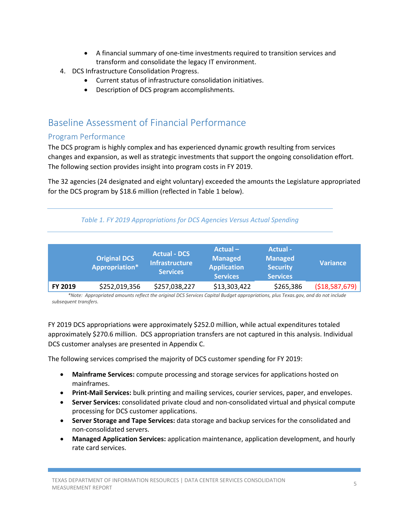- A financial summary of one-time investments required to transition services and transform and consolidate the legacy IT environment.
- 4. DCS Infrastructure Consolidation Progress.
	- Current status of infrastructure consolidation initiatives.
	- Description of DCS program accomplishments.

# <span id="page-4-0"></span>Baseline Assessment of Financial Performance

#### <span id="page-4-1"></span>Program Performance

The DCS program is highly complex and has experienced dynamic growth resulting from services changes and expansion, as well as strategic investments that support the ongoing consolidation effort. The following section provides insight into program costs in FY 2019.

The 32 agencies (24 designated and eight voluntary) exceeded the amounts the Legislature appropriated for the DCS program by \$18.6 million (reflected in Table 1 below).

#### *Table 1. FY 2019 Appropriations for DCS Agencies Versus Actual Spending*

|         | <b>Original DCS</b><br><b>Appropriation*</b> | <b>Actual - DCS</b><br><b>Infrastructure</b><br><b>Services</b> | $Actual -$<br><b>Managed</b><br><b>Application</b><br><b>Services</b> | Actual -<br><b>Managed</b><br><b>Security</b><br><b>Services</b> | <b>Variance</b> |
|---------|----------------------------------------------|-----------------------------------------------------------------|-----------------------------------------------------------------------|------------------------------------------------------------------|-----------------|
| FY 2019 | \$252,019,356                                | \$257,038,227                                                   | \$13,303,422                                                          | \$265,386                                                        | ( \$18,587,679] |

*\*Note: Appropriated amounts reflect the original DCS Services Capital Budget appropriations, plus Texas.gov, and do not include subsequent transfers.* 

FY 2019 DCS appropriations were approximately \$252.0 million, while actual expenditures totaled approximately \$270.6 million. DCS appropriation transfers are not captured in this analysis. Individual DCS customer analyses are presented in Appendix C.

The following services comprised the majority of DCS customer spending for FY 2019:

- **Mainframe Services:** compute processing and storage services for applications hosted on mainframes.
- **Print-Mail Services:** bulk printing and mailing services, courier services, paper, and envelopes.
- **Server Services:** consolidated private cloud and non-consolidated virtual and physical compute processing for DCS customer applications.
- **Server Storage and Tape Services:** data storage and backup services for the consolidated and non-consolidated servers.
- **Managed Application Services:** application maintenance, application development, and hourly rate card services.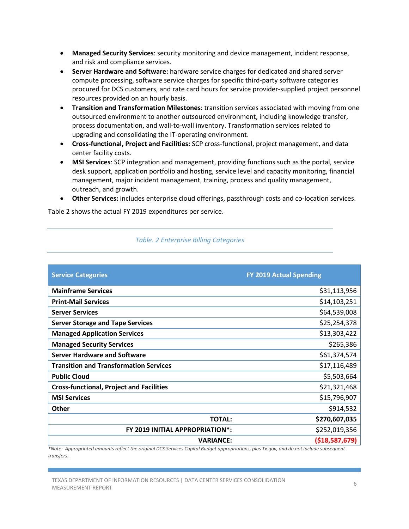- **Managed Security Services**: security monitoring and device management, incident response, and risk and compliance services.
- **Server Hardware and Software:** hardware service charges for dedicated and shared server compute processing, software service charges for specific third-party software categories procured for DCS customers, and rate card hours for service provider-supplied project personnel resources provided on an hourly basis.
- **Transition and Transformation Milestones**: transition services associated with moving from one outsourced environment to another outsourced environment, including knowledge transfer, process documentation, and wall-to-wall inventory. Transformation services related to upgrading and consolidating the IT-operating environment.
- **Cross-functional, Project and Facilities:** SCP cross-functional, project management, and data center facility costs.
- **MSI Services**: SCP integration and management, providing functions such as the portal, service desk support, application portfolio and hosting, service level and capacity monitoring, financial management, major incident management, training, process and quality management, outreach, and growth.
- **Other Services:** includes enterprise cloud offerings, passthrough costs and co-location services.

Table 2 shows the actual FY 2019 expenditures per service.

| <b>Service Categories</b>                       | <b>FY 2019 Actual Spending</b> |
|-------------------------------------------------|--------------------------------|
| <b>Mainframe Services</b>                       | \$31,113,956                   |
| <b>Print-Mail Services</b>                      | \$14,103,251                   |
| <b>Server Services</b>                          | \$64,539,008                   |
| <b>Server Storage and Tape Services</b>         | \$25,254,378                   |
| <b>Managed Application Services</b>             | \$13,303,422                   |
| <b>Managed Security Services</b>                | \$265,386                      |
| <b>Server Hardware and Software</b>             | \$61,374,574                   |
| <b>Transition and Transformation Services</b>   | \$17,116,489                   |
| <b>Public Cloud</b>                             | \$5,503,664                    |
| <b>Cross-functional, Project and Facilities</b> | \$21,321,468                   |
| <b>MSI Services</b>                             | \$15,796,907                   |
| <b>Other</b>                                    | \$914,532                      |
| <b>TOTAL:</b>                                   | \$270,607,035                  |
| FY 2019 INITIAL APPROPRIATION*:                 | \$252,019,356                  |
| <b>VARIANCE:</b>                                | ( \$18,587,679)                |

*Table. 2 Enterprise Billing Categories*

*\*Note: Appropriated amounts reflect the original DCS Services Capital Budget appropriations, plus Tx.gov, and do not include subsequent transfers.*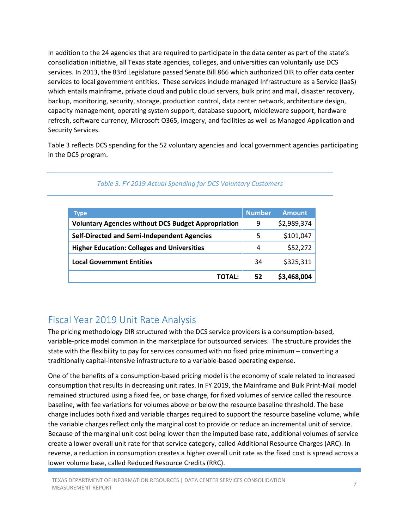In addition to the 24 agencies that are required to participate in the data center as part of the state's consolidation initiative, all Texas state agencies, colleges, and universities can voluntarily use DCS services. In 2013, the 83rd Legislature passed Senate Bill 866 which authorized DIR to offer data center services to local government entities. These services include managed Infrastructure as a Service (IaaS) which entails mainframe, private cloud and public cloud servers, bulk print and mail, disaster recovery, backup, monitoring, security, storage, production control, data center network, architecture design, capacity management, operating system support, database support, middleware support, hardware refresh, software currency, Microsoft O365, imagery, and facilities as well as Managed Application and Security Services.

Table 3 reflects DCS spending for the 52 voluntary agencies and local government agencies participating in the DCS program.

<span id="page-6-0"></span>

| Type                                                       | <b>Number</b> | <b>Amount</b> |
|------------------------------------------------------------|---------------|---------------|
| <b>Voluntary Agencies without DCS Budget Appropriation</b> | 9             | \$2,989,374   |
| <b>Self-Directed and Semi-Independent Agencies</b>         | 5             | \$101,047     |
| <b>Higher Education: Colleges and Universities</b>         | 4             | \$52,272      |
| <b>Local Government Entities</b>                           | 34            | \$325,311     |
| TOTAL:                                                     | 52            | \$3,468,004   |

#### *Table 3. FY 2019 Actual Spending for DCS Voluntary Customers*

### Fiscal Year 2019 Unit Rate Analysis

The pricing methodology DIR structured with the DCS service providers is a consumption-based, variable-price model common in the marketplace for outsourced services. The structure provides the state with the flexibility to pay for services consumed with no fixed price minimum – converting a traditionally capital-intensive infrastructure to a variable-based operating expense.

One of the benefits of a consumption-based pricing model is the economy of scale related to increased consumption that results in decreasing unit rates. In FY 2019, the Mainframe and Bulk Print-Mail model remained structured using a fixed fee, or base charge, for fixed volumes of service called the resource baseline, with fee variations for volumes above or below the resource baseline threshold. The base charge includes both fixed and variable charges required to support the resource baseline volume, while the variable charges reflect only the marginal cost to provide or reduce an incremental unit of service. Because of the marginal unit cost being lower than the imputed base rate, additional volumes of service create a lower overall unit rate for that service category, called Additional Resource Charges (ARC). In reverse, a reduction in consumption creates a higher overall unit rate as the fixed cost is spread across a lower volume base, called Reduced Resource Credits (RRC).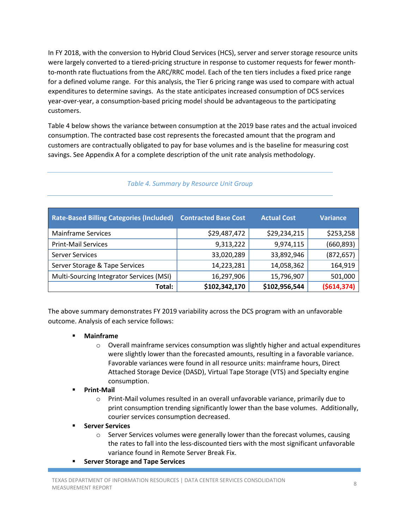In FY 2018, with the conversion to Hybrid Cloud Services (HCS), server and server storage resource units were largely converted to a tiered-pricing structure in response to customer requests for fewer monthto-month rate fluctuations from the ARC/RRC model. Each of the ten tiers includes a fixed price range for a defined volume range. For this analysis, the Tier 6 pricing range was used to compare with actual expenditures to determine savings. As the state anticipates increased consumption of DCS services year-over-year, a consumption-based pricing model should be advantageous to the participating customers.

Table 4 below shows the variance between consumption at the 2019 base rates and the actual invoiced consumption. The contracted base cost represents the forecasted amount that the program and customers are contractually obligated to pay for base volumes and is the baseline for measuring cost savings. See Appendix A for a complete description of the unit rate analysis methodology.

| <b>Rate-Based Billing Categories (Included)</b> | <b>Contracted Base Cost</b> | <b>Actual Cost</b> | Variance    |
|-------------------------------------------------|-----------------------------|--------------------|-------------|
| <b>Mainframe Services</b>                       | \$29,487,472                | \$29,234,215       | \$253,258   |
| <b>Print-Mail Services</b>                      | 9,313,222                   | 9,974,115          | (660, 893)  |
| <b>Server Services</b>                          | 33,020,289                  | 33,892,946         | (872, 657)  |
| Server Storage & Tape Services                  | 14,223,281                  | 14,058,362         | 164,919     |
| Multi-Sourcing Integrator Services (MSI)        | 16,297,906                  | 15,796,907         | 501,000     |
| Total:                                          | \$102,342,170               | \$102,956,544      | (5614, 374) |

*Table 4. Summary by Resource Unit Group*

The above summary demonstrates FY 2019 variability across the DCS program with an unfavorable outcome. Analysis of each service follows:

- **Mainframe**
	- $\circ$  Overall mainframe services consumption was slightly higher and actual expenditures were slightly lower than the forecasted amounts, resulting in a favorable variance. Favorable variances were found in all resource units: mainframe hours, Direct Attached Storage Device (DASD), Virtual Tape Storage (VTS) and Specialty engine consumption.
- **Print-Mail**
	- o Print-Mail volumes resulted in an overall unfavorable variance, primarily due to print consumption trending significantly lower than the base volumes. Additionally, courier services consumption decreased.
- **Server Services**
	- o Server Services volumes were generally lower than the forecast volumes, causing the rates to fall into the less-discounted tiers with the most significant unfavorable variance found in Remote Server Break Fix.
- **F** Server Storage and Tape Services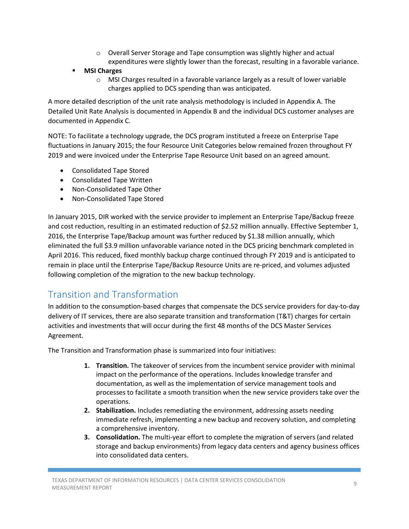- $\circ$  Overall Server Storage and Tape consumption was slightly higher and actual expenditures were slightly lower than the forecast, resulting in a favorable variance.
- **MSI Charges**
	- o MSI Charges resulted in a favorable variance largely as a result of lower variable charges applied to DCS spending than was anticipated.

A more detailed description of the unit rate analysis methodology is included in Appendix A. The Detailed Unit Rate Analysis is documented in Appendix B and the individual DCS customer analyses are documented in Appendix C.

NOTE: To facilitate a technology upgrade, the DCS program instituted a freeze on Enterprise Tape fluctuations in January 2015; the four Resource Unit Categories below remained frozen throughout FY 2019 and were invoiced under the Enterprise Tape Resource Unit based on an agreed amount.

- Consolidated Tape Stored
- Consolidated Tape Written
- Non-Consolidated Tape Other
- Non-Consolidated Tape Stored

In January 2015, DIR worked with the service provider to implement an Enterprise Tape/Backup freeze and cost reduction, resulting in an estimated reduction of \$2.52 million annually. Effective September 1, 2016, the Enterprise Tape/Backup amount was further reduced by \$1.38 million annually, which eliminated the full \$3.9 million unfavorable variance noted in the DCS pricing benchmark completed in April 2016. This reduced, fixed monthly backup charge continued through FY 2019 and is anticipated to remain in place until the Enterprise Tape/Backup Resource Units are re-priced, and volumes adjusted following completion of the migration to the new backup technology.

# <span id="page-8-0"></span>Transition and Transformation

In addition to the consumption-based charges that compensate the DCS service providers for day-to-day delivery of IT services, there are also separate transition and transformation (T&T) charges for certain activities and investments that will occur during the first 48 months of the DCS Master Services Agreement.

The Transition and Transformation phase is summarized into four initiatives:

- **1. Transition.** The takeover of services from the incumbent service provider with minimal impact on the performance of the operations. Includes knowledge transfer and documentation, as well as the implementation of service management tools and processes to facilitate a smooth transition when the new service providers take over the operations.
- **2. Stabilization.** Includes remediating the environment, addressing assets needing immediate refresh, implementing a new backup and recovery solution, and completing a comprehensive inventory.
- **3. Consolidation.** The multi-year effort to complete the migration of servers (and related storage and backup environments) from legacy data centers and agency business offices into consolidated data centers.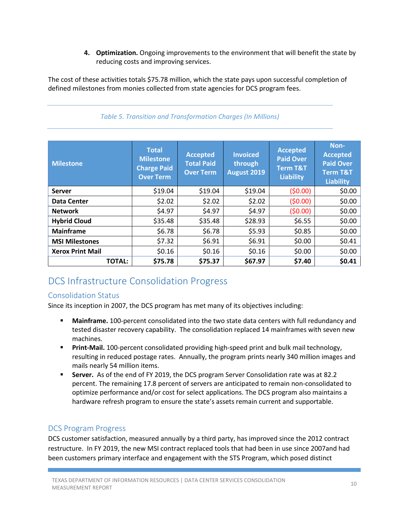**4. Optimization.** Ongoing improvements to the environment that will benefit the state by reducing costs and improving services.

The cost of these activities totals \$75.78 million, which the state pays upon successful completion of defined milestones from monies collected from state agencies for DCS program fees.

| <b>Milestone</b>        | <b>Total</b><br><b>Milestone</b><br><b>Charge Paid</b><br><b>Over Term</b> | <b>Accepted</b><br><b>Total Paid</b><br><b>Over Term</b> | <b>Invoiced</b><br>through<br>August 2019 | <b>Accepted</b><br><b>Paid Over</b><br><b>Term T&amp;T</b><br><b>Liability</b> | Non-<br><b>Accepted</b><br><b>Paid Over</b><br><b>Term T&amp;T</b><br><b>Liability</b> |
|-------------------------|----------------------------------------------------------------------------|----------------------------------------------------------|-------------------------------------------|--------------------------------------------------------------------------------|----------------------------------------------------------------------------------------|
| <b>Server</b>           | \$19.04                                                                    | \$19.04                                                  | \$19.04                                   | (50.00)                                                                        | \$0.00                                                                                 |
| Data Center             | \$2.02                                                                     | \$2.02                                                   | \$2.02                                    | (50.00)                                                                        | \$0.00                                                                                 |
| <b>Network</b>          | \$4.97                                                                     | \$4.97                                                   | \$4.97                                    | (50.00)                                                                        | \$0.00                                                                                 |
| <b>Hybrid Cloud</b>     | \$35.48                                                                    | \$35.48                                                  | \$28.93                                   | \$6.55                                                                         | \$0.00                                                                                 |
| <b>Mainframe</b>        | \$6.78                                                                     | \$6.78                                                   | \$5.93                                    | \$0.85                                                                         | \$0.00                                                                                 |
| <b>MSI Milestones</b>   | \$7.32                                                                     | \$6.91                                                   | \$6.91                                    | \$0.00                                                                         | \$0.41                                                                                 |
| <b>Xerox Print Mail</b> | \$0.16                                                                     | \$0.16                                                   | \$0.16                                    | \$0.00                                                                         | \$0.00                                                                                 |
| <b>TOTAL:</b>           | \$75.78                                                                    | \$75.37                                                  | \$67.97                                   | \$7.40                                                                         | \$0.41                                                                                 |

#### *Table 5. Transition and Transformation Charges (In Millions)*

# <span id="page-9-0"></span>DCS Infrastructure Consolidation Progress

#### <span id="page-9-1"></span>Consolidation Status

Since its inception in 2007, the DCS program has met many of its objectives including:

- **Mainframe.** 100-percent consolidated into the two state data centers with full redundancy and tested disaster recovery capability. The consolidation replaced 14 mainframes with seven new machines.
- **Print-Mail.** 100-percent consolidated providing high-speed print and bulk mail technology, resulting in reduced postage rates. Annually, the program prints nearly 340 million images and mails nearly 54 million items.
- **Server.** As of the end of FY 2019, the DCS program Server Consolidation rate was at 82.2 percent. The remaining 17.8 percent of servers are anticipated to remain non-consolidated to optimize performance and/or cost for select applications. The DCS program also maintains a hardware refresh program to ensure the state's assets remain current and supportable.

#### <span id="page-9-2"></span>DCS Program Progress

DCS customer satisfaction, measured annually by a third party, has improved since the 2012 contract restructure. In FY 2019, the new MSI contract replaced tools that had been in use since 2007and had been customers primary interface and engagement with the STS Program, which posed distinct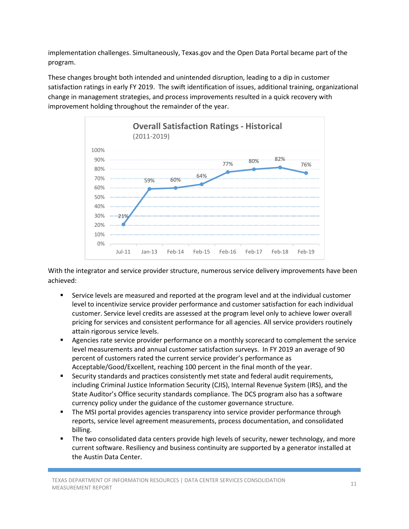implementation challenges. Simultaneously, Texas.gov and the Open Data Portal became part of the program.

These changes brought both intended and unintended disruption, leading to a dip in customer satisfaction ratings in early FY 2019. The swift identification of issues, additional training, organizational change in management strategies, and process improvements resulted in a quick recovery with improvement holding throughout the remainder of the year.



With the integrator and service provider structure, numerous service delivery improvements have been achieved:

- Service levels are measured and reported at the program level and at the individual customer level to incentivize service provider performance and customer satisfaction for each individual customer. Service level credits are assessed at the program level only to achieve lower overall pricing for services and consistent performance for all agencies. All service providers routinely attain rigorous service levels.
- **EXECT** Agencies rate service provider performance on a monthly scorecard to complement the service level measurements and annual customer satisfaction surveys. In FY 2019 an average of 90 percent of customers rated the current service provider's performance as Acceptable/Good/Excellent, reaching 100 percent in the final month of the year.
- Security standards and practices consistently met state and federal audit requirements, including Criminal Justice Information Security (CJIS), Internal Revenue System (IRS), and the State Auditor's Office security standards compliance. The DCS program also has a software currency policy under the guidance of the customer governance structure.
- The MSI portal provides agencies transparency into service provider performance through reports, service level agreement measurements, process documentation, and consolidated billing.
- The two consolidated data centers provide high levels of security, newer technology, and more current software. Resiliency and business continuity are supported by a generator installed at the Austin Data Center.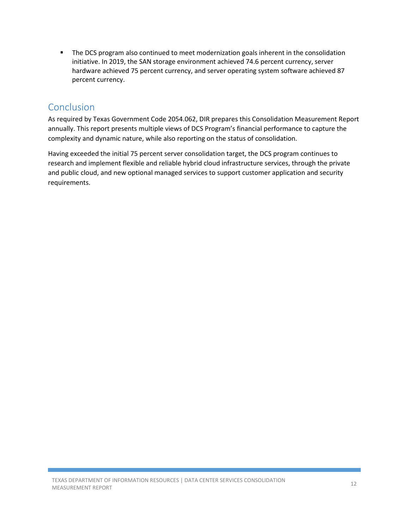**The DCS program also continued to meet modernization goals inherent in the consolidation** initiative. In 2019, the SAN storage environment achieved 74.6 percent currency, server hardware achieved 75 percent currency, and server operating system software achieved 87 percent currency.

# <span id="page-11-0"></span>Conclusion

As required by Texas Government Code 2054.062, DIR prepares this Consolidation Measurement Report annually. This report presents multiple views of DCS Program's financial performance to capture the complexity and dynamic nature, while also reporting on the status of consolidation.

Having exceeded the initial 75 percent server consolidation target, the DCS program continues to research and implement flexible and reliable hybrid cloud infrastructure services, through the private and public cloud, and new optional managed services to support customer application and security requirements.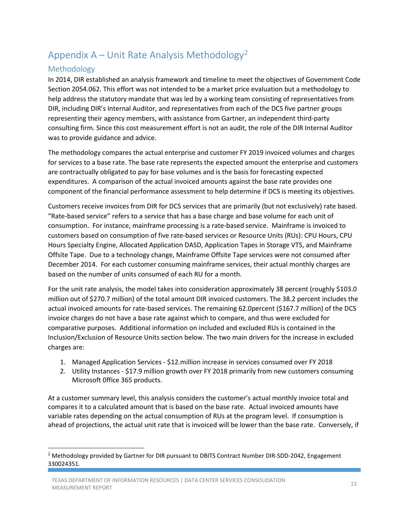# <span id="page-12-0"></span>Appendix  $A -$  Unit Rate Analysis Methodology<sup>[2](#page-12-2)</sup>

#### <span id="page-12-1"></span>Methodology

In 2014, DIR established an analysis framework and timeline to meet the objectives of Government Code Section 2054.062. This effort was not intended to be a market price evaluation but a methodology to help address the statutory mandate that was led by a working team consisting of representatives from DIR, including DIR's Internal Auditor, and representatives from each of the DCS five partner groups representing their agency members, with assistance from Gartner, an independent third-party consulting firm. Since this cost measurement effort is not an audit, the role of the DIR Internal Auditor was to provide guidance and advice.

The methodology compares the actual enterprise and customer FY 2019 invoiced volumes and charges for services to a base rate. The base rate represents the expected amount the enterprise and customers are contractually obligated to pay for base volumes and is the basis for forecasting expected expenditures. A comparison of the actual invoiced amounts against the base rate provides one component of the financial performance assessment to help determine if DCS is meeting its objectives.

Customers receive invoices from DIR for DCS services that are primarily (but not exclusively) rate based. "Rate-based service" refers to a service that has a base charge and base volume for each unit of consumption. For instance, mainframe processing is a rate-based service. Mainframe is invoiced to customers based on consumption of five rate-based services or Resource Units (RUs): CPU Hours, CPU Hours Specialty Engine, Allocated Application DASD, Application Tapes in Storage VTS, and Mainframe Offsite Tape. Due to a technology change, Mainframe Offsite Tape services were not consumed after December 2014. For each customer consuming mainframe services, their actual monthly charges are based on the number of units consumed of each RU for a month.

For the unit rate analysis, the model takes into consideration approximately 38 percent (roughly \$103.0 million out of \$270.7 million) of the total amount DIR invoiced customers. The 38.2 percent includes the actual invoiced amounts for rate-based services. The remaining 62.0percent (\$167.7 million) of the DCS invoice charges do not have a base rate against which to compare, and thus were excluded for comparative purposes. Additional information on included and excluded RUs is contained in the Inclusion/Exclusion of Resource Units section below. The two main drivers for the increase in excluded charges are:

- 1. Managed Application Services \$12.million increase in services consumed over FY 2018
- 2. Utility Instances \$17.9 million growth over FY 2018 primarily from new customers consuming Microsoft 0ffice 365 products.

At a customer summary level, this analysis considers the customer's actual monthly invoice total and compares it to a calculated amount that is based on the base rate. Actual invoiced amounts have variable rates depending on the actual consumption of RUs at the program level. If consumption is ahead of projections, the actual unit rate that is invoiced will be lower than the base rate. Conversely, if

<span id="page-12-2"></span><sup>&</sup>lt;sup>2</sup> Methodology provided by Gartner for DIR pursuant to DBITS Contract Number DIR-SDD-2042, Engagement 330024351.

TEXAS DEPARTMENT OF INFORMATION RESOURCES | DATA CENTER SERVICES CONSOLIDATION 13<br>MEASUREMENT REPORT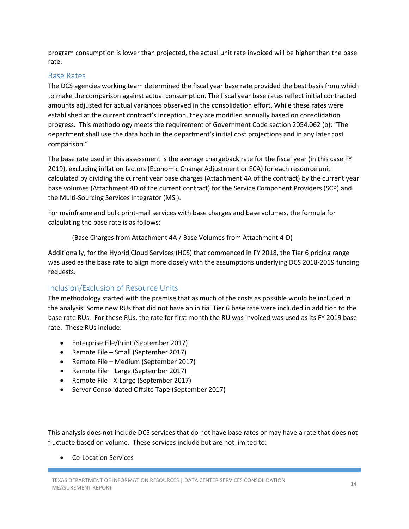program consumption is lower than projected, the actual unit rate invoiced will be higher than the base rate.

#### <span id="page-13-0"></span>Base Rates

The DCS agencies working team determined the fiscal year base rate provided the best basis from which to make the comparison against actual consumption. The fiscal year base rates reflect initial contracted amounts adjusted for actual variances observed in the consolidation effort. While these rates were established at the current contract's inception, they are modified annually based on consolidation progress. This methodology meets the requirement of Government Code section 2054.062 (b): "The department shall use the data both in the department's initial cost projections and in any later cost comparison."

The base rate used in this assessment is the average chargeback rate for the fiscal year (in this case FY 2019), excluding inflation factors (Economic Change Adjustment or ECA) for each resource unit calculated by dividing the current year base charges (Attachment 4A of the contract) by the current year base volumes (Attachment 4D of the current contract) for the Service Component Providers (SCP) and the Multi-Sourcing Services Integrator (MSI).

For mainframe and bulk print-mail services with base charges and base volumes, the formula for calculating the base rate is as follows:

(Base Charges from Attachment 4A / Base Volumes from Attachment 4-D)

Additionally, for the Hybrid Cloud Services (HCS) that commenced in FY 2018, the Tier 6 pricing range was used as the base rate to align more closely with the assumptions underlying DCS 2018-2019 funding requests.

#### <span id="page-13-1"></span>Inclusion/Exclusion of Resource Units

The methodology started with the premise that as much of the costs as possible would be included in the analysis. Some new RUs that did not have an initial Tier 6 base rate were included in addition to the base rate RUs. For these RUs, the rate for first month the RU was invoiced was used as its FY 2019 base rate. These RUs include:

- Enterprise File/Print (September 2017)
- Remote File Small (September 2017)
- Remote File Medium (September 2017)
- Remote File Large (September 2017)
- Remote File X-Large (September 2017)
- Server Consolidated Offsite Tape (September 2017)

This analysis does not include DCS services that do not have base rates or may have a rate that does not fluctuate based on volume. These services include but are not limited to:

• Co-Location Services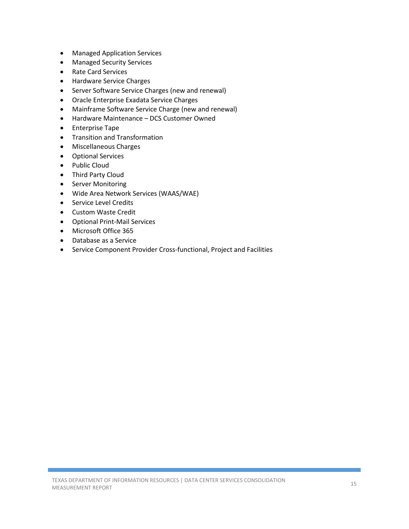- Managed Application Services
- Managed Security Services
- Rate Card Services
- Hardware Service Charges
- Server Software Service Charges (new and renewal)
- Oracle Enterprise Exadata Service Charges
- Mainframe Software Service Charge (new and renewal)
- Hardware Maintenance DCS Customer Owned
- Enterprise Tape
- Transition and Transformation
- Miscellaneous Charges
- Optional Services
- Public Cloud
- Third Party Cloud
- Server Monitoring
- Wide Area Network Services (WAAS/WAE)
- Service Level Credits
- Custom Waste Credit
- Optional Print-Mail Services
- Microsoft Office 365
- Database as a Service
- Service Component Provider Cross-functional, Project and Facilities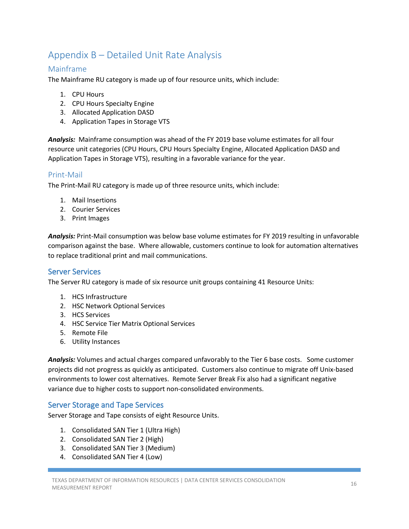# <span id="page-15-0"></span>Appendix B – Detailed Unit Rate Analysis

#### <span id="page-15-1"></span>Mainframe

The Mainframe RU category is made up of four resource units, which include:

- 1. CPU Hours
- 2. CPU Hours Specialty Engine
- 3. Allocated Application DASD
- 4. Application Tapes in Storage VTS

*Analysis:* Mainframe consumption was ahead of the FY 2019 base volume estimates for all four resource unit categories (CPU Hours, CPU Hours Specialty Engine, Allocated Application DASD and Application Tapes in Storage VTS), resulting in a favorable variance for the year.

#### <span id="page-15-2"></span>Print-Mail

The Print-Mail RU category is made up of three resource units, which include:

- 1. Mail Insertions
- 2. Courier Services
- 3. Print Images

*Analysis:* Print-Mail consumption was below base volume estimates for FY 2019 resulting in unfavorable comparison against the base. Where allowable, customers continue to look for automation alternatives to replace traditional print and mail communications.

#### <span id="page-15-3"></span>Server Services

The Server RU category is made of six resource unit groups containing 41 Resource Units:

- 1. HCS Infrastructure
- 2. HSC Network Optional Services
- 3. HCS Services
- 4. HSC Service Tier Matrix Optional Services
- 5. Remote File
- 6. Utility Instances

*Analysis:* Volumes and actual charges compared unfavorably to the Tier 6 base costs. Some customer projects did not progress as quickly as anticipated. Customers also continue to migrate off Unix-based environments to lower cost alternatives. Remote Server Break Fix also had a significant negative variance due to higher costs to support non-consolidated environments.

#### <span id="page-15-4"></span>Server Storage and Tape Services

Server Storage and Tape consists of eight Resource Units.

- 1. Consolidated SAN Tier 1 (Ultra High)
- 2. Consolidated SAN Tier 2 (High)
- 3. Consolidated SAN Tier 3 (Medium)
- 4. Consolidated SAN Tier 4 (Low)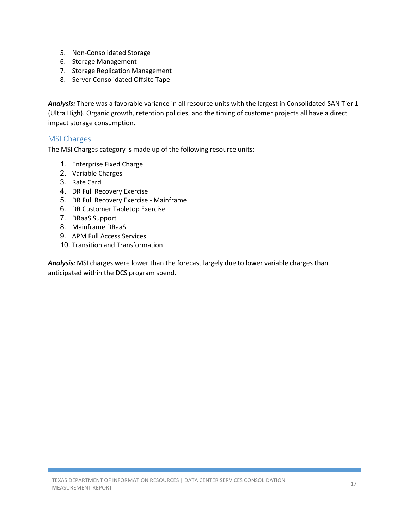- 5. Non-Consolidated Storage
- 6. Storage Management
- 7. Storage Replication Management
- 8. Server Consolidated Offsite Tape

*Analysis:* There was a favorable variance in all resource units with the largest in Consolidated SAN Tier 1 (Ultra High). Organic growth, retention policies, and the timing of customer projects all have a direct impact storage consumption.

#### <span id="page-16-0"></span>MSI Charges

The MSI Charges category is made up of the following resource units:

- 1. Enterprise Fixed Charge
- 2. Variable Charges
- 3. Rate Card
- 4. DR Full Recovery Exercise
- 5. DR Full Recovery Exercise Mainframe
- 6. DR Customer Tabletop Exercise
- 7. DRaaS Support
- 8. Mainframe DRaaS
- 9. APM Full Access Services
- 10. Transition and Transformation

*Analysis:* MSI charges were lower than the forecast largely due to lower variable charges than anticipated within the DCS program spend.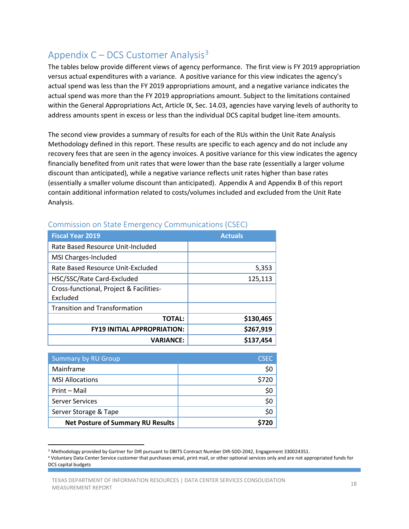# <span id="page-17-0"></span>Appendix  $C$  – DCS Customer Analysis<sup>[3](#page-17-1)</sup>

The tables below provide different views of agency performance. The first view is FY 2019 appropriation versus actual expenditures with a variance. A positive variance for this view indicates the agency's actual spend was less than the FY 2019 appropriations amount, and a negative variance indicates the actual spend was more than the FY 2019 appropriations amount. Subject to the limitations contained within the General Appropriations Act, Article IX, Sec. 14.03, agencies have varying levels of authority to address amounts spent in excess or less than the individual DCS capital budget line-item amounts.

The second view provides a summary of results for each of the RUs within the Unit Rate Analysis Methodology defined in this report. These results are specific to each agency and do not include any recovery fees that are seen in the agency invoices. A positive variance for this view indicates the agency financially benefited from unit rates that were lower than the base rate (essentially a larger volume discount than anticipated), while a negative variance reflects unit rates higher than base rates (essentially a smaller volume discount than anticipated). Appendix A and Appendix B of this report contain additional information related to costs/volumes included and excluded from the Unit Rate Analysis.

| <b>Fiscal Year 2019</b>                 | <b>Actuals</b> |
|-----------------------------------------|----------------|
| Rate Based Resource Unit-Included       |                |
| MSI Charges-Included                    |                |
| Rate Based Resource Unit-Excluded       | 5,353          |
| HSC/SSC/Rate Card-Excluded              | 125,113        |
| Cross-functional, Project & Facilities- |                |
| Excluded                                |                |
| <b>Transition and Transformation</b>    |                |
| <b>TOTAL:</b>                           | \$130,465      |
| <b>FY19 INITIAL APPROPRIATION:</b>      | \$267,919      |
| <b>VARIANCE:</b>                        | \$137,454      |

#### Commission on State Emergency Communications (CSEC)

| <b>Summary by RU Group</b>               | <b>CSEC</b> |
|------------------------------------------|-------------|
| Mainframe                                | \$0         |
| <b>MSI Allocations</b>                   | \$720       |
| Print - Mail                             | \$0         |
| <b>Server Services</b>                   | \$0         |
| Server Storage & Tape                    | \$0         |
| <b>Net Posture of Summary RU Results</b> |             |

<span id="page-17-1"></span><sup>&</sup>lt;sup>3</sup> Methodology provided by Gartner for DIR pursuant to DBITS Contract Number DIR-SDD-2042, Engagement 330024351.

<sup>4</sup> Voluntary Data Center Service customer that purchases email, print mail, or other optional services only and are not appropriated funds for DCS capital budgets

TEXAS DEPARTMENT OF INFORMATION RESOURCES | DATA CENTER SERVICES CONSOLIDATION 18<br>MEASUREMENT REPORT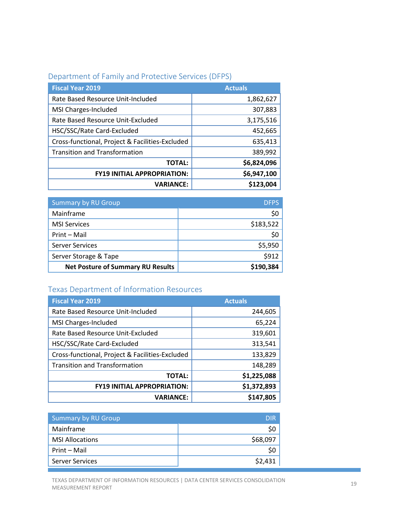|  |  | Department of Family and Protective Services (DFPS) |  |  |
|--|--|-----------------------------------------------------|--|--|
|--|--|-----------------------------------------------------|--|--|

| <b>Fiscal Year 2019</b>                         | <b>Actuals</b> |
|-------------------------------------------------|----------------|
| Rate Based Resource Unit-Included               | 1,862,627      |
| MSI Charges-Included                            | 307,883        |
| Rate Based Resource Unit-Excluded               | 3,175,516      |
| HSC/SSC/Rate Card-Excluded                      | 452,665        |
| Cross-functional, Project & Facilities-Excluded | 635,413        |
| <b>Transition and Transformation</b>            | 389,992        |
| <b>TOTAL:</b>                                   | \$6,824,096    |
| <b>FY19 INITIAL APPROPRIATION:</b>              | \$6,947,100    |
| <b>VARIANCE:</b>                                | \$123,004      |

| <b>Summary by RU Group</b>               | <b>DFPS</b> |
|------------------------------------------|-------------|
| Mainframe                                | S0          |
| <b>MSI Services</b>                      | \$183,522   |
| Print - Mail                             | Ş0          |
| <b>Server Services</b>                   | \$5,950     |
| Server Storage & Tape                    | \$912       |
| <b>Net Posture of Summary RU Results</b> | \$190,384   |

# Texas Department of Information Resources

| <b>Fiscal Year 2019</b>                         | <b>Actuals</b> |
|-------------------------------------------------|----------------|
| Rate Based Resource Unit-Included               | 244,605        |
| MSI Charges-Included                            | 65,224         |
| Rate Based Resource Unit-Excluded               | 319,601        |
| HSC/SSC/Rate Card-Excluded                      | 313,541        |
| Cross-functional, Project & Facilities-Excluded | 133,829        |
| <b>Transition and Transformation</b>            | 148,289        |
| <b>TOTAL:</b>                                   | \$1,225,088    |
| <b>FY19 INITIAL APPROPRIATION:</b>              | \$1,372,893    |
| <b>VARIANCE:</b>                                | \$147,805      |

| <b>Summary by RU Group</b> | DIR      |
|----------------------------|----------|
| Mainframe                  | Ş0       |
| <b>MSI Allocations</b>     | \$68,097 |
| Print - Mail               | Ş0       |
| <b>Server Services</b>     | \$2,431  |

TEXAS DEPARTMENT OF INFORMATION RESOURCES | DATA CENTER SERVICES CONSOLIDATION 19<br>MEASUREMENT REPORT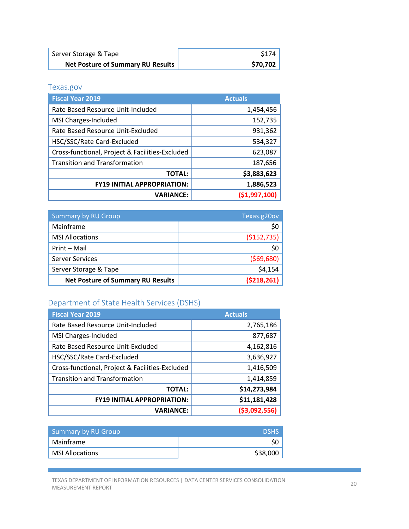| Server Storage & Tape                    | \$174    |
|------------------------------------------|----------|
| <b>Net Posture of Summary RU Results</b> | \$70,702 |

Texas.gov

| <b>Fiscal Year 2019</b>                         | <b>Actuals</b> |
|-------------------------------------------------|----------------|
| Rate Based Resource Unit-Included               | 1,454,456      |
| MSI Charges-Included                            | 152,735        |
| Rate Based Resource Unit-Excluded               | 931,362        |
| HSC/SSC/Rate Card-Excluded                      | 534,327        |
| Cross-functional, Project & Facilities-Excluded | 623,087        |
| <b>Transition and Transformation</b>            | 187,656        |
| <b>TOTAL:</b>                                   | \$3,883,623    |
| <b>FY19 INITIAL APPROPRIATION:</b>              | 1,886,523      |
| <b>VARIANCE:</b>                                | ( \$1,997,100) |

| <b>Summary by RU Group</b>               | Texas.g20ov   |
|------------------------------------------|---------------|
| Mainframe                                | \$0           |
| <b>MSI Allocations</b>                   | ( \$152, 735) |
| Print - Mail                             | \$0           |
| <b>Server Services</b>                   | (569,680)     |
| Server Storage & Tape                    | \$4,154       |
| <b>Net Posture of Summary RU Results</b> | (5218, 261)   |

# Department of State Health Services (DSHS)

| <b>Fiscal Year 2019</b>                         | <b>Actuals</b> |
|-------------------------------------------------|----------------|
| Rate Based Resource Unit-Included               | 2,765,186      |
| MSI Charges-Included                            | 877,687        |
| Rate Based Resource Unit-Excluded               | 4,162,816      |
| HSC/SSC/Rate Card-Excluded                      | 3,636,927      |
| Cross-functional, Project & Facilities-Excluded | 1,416,509      |
| <b>Transition and Transformation</b>            | 1,414,859      |
| <b>TOTAL:</b>                                   | \$14,273,984   |
| <b>FY19 INITIAL APPROPRIATION:</b>              | \$11,181,428   |
| <b>VARIANCE:</b>                                | ( \$3,092,556) |

| Summary by RU Group    | <b>DSHS</b> |
|------------------------|-------------|
| Mainframe              |             |
| <b>MSI Allocations</b> | \$38,000    |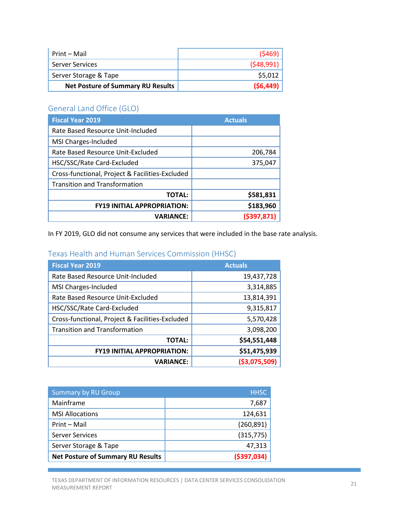| Print – Mail                             | (5469)    |
|------------------------------------------|-----------|
| <b>Server Services</b>                   | (548,991) |
| Server Storage & Tape                    | \$5,012   |
| <b>Net Posture of Summary RU Results</b> | (56, 449) |

# General Land Office (GLO)

| <b>Fiscal Year 2019</b>                         | <b>Actuals</b> |
|-------------------------------------------------|----------------|
| Rate Based Resource Unit-Included               |                |
| MSI Charges-Included                            |                |
| Rate Based Resource Unit-Excluded               | 206,784        |
| HSC/SSC/Rate Card-Excluded                      | 375,047        |
| Cross-functional, Project & Facilities-Excluded |                |
| <b>Transition and Transformation</b>            |                |
| <b>TOTAL:</b>                                   | \$581,831      |
| <b>FY19 INITIAL APPROPRIATION:</b>              | \$183,960      |
| <b>VARIANCE:</b>                                | ( \$397, 871)  |

In FY 2019, GLO did not consume any services that were included in the base rate analysis.

#### Texas Health and Human Services Commission (HHSC)

| <b>Fiscal Year 2019</b>                         | <b>Actuals</b> |
|-------------------------------------------------|----------------|
| Rate Based Resource Unit-Included               | 19,437,728     |
| MSI Charges-Included                            | 3,314,885      |
| Rate Based Resource Unit-Excluded               | 13,814,391     |
| HSC/SSC/Rate Card-Excluded                      | 9,315,817      |
| Cross-functional, Project & Facilities-Excluded | 5,570,428      |
| <b>Transition and Transformation</b>            | 3,098,200      |
| <b>TOTAL:</b>                                   | \$54,551,448   |
| <b>FY19 INITIAL APPROPRIATION:</b>              | \$51,475,939   |
| <b>VARIANCE:</b>                                | ( \$3,075,509) |

| <b>Summary by RU Group</b>               | <b>HHSC</b>   |
|------------------------------------------|---------------|
| Mainframe                                | 7,687         |
| <b>MSI Allocations</b>                   | 124,631       |
| Print - Mail                             | (260, 891)    |
| <b>Server Services</b>                   | (315, 775)    |
| Server Storage & Tape                    | 47,313        |
| <b>Net Posture of Summary RU Results</b> | ( \$397, 034) |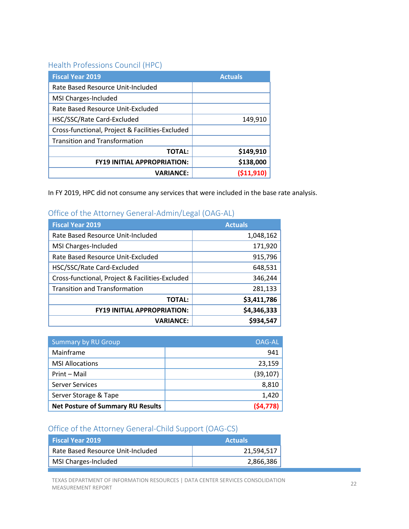#### Health Professions Council (HPC)

| <b>Fiscal Year 2019</b>                         | <b>Actuals</b> |
|-------------------------------------------------|----------------|
| Rate Based Resource Unit-Included               |                |
| MSI Charges-Included                            |                |
| Rate Based Resource Unit-Excluded               |                |
| HSC/SSC/Rate Card-Excluded                      | 149,910        |
| Cross-functional, Project & Facilities-Excluded |                |
| <b>Transition and Transformation</b>            |                |
| <b>TOTAL:</b>                                   | \$149,910      |
| <b>FY19 INITIAL APPROPRIATION:</b>              | \$138,000      |
| <b>VARIANCE:</b>                                | (511, 91       |

In FY 2019, HPC did not consume any services that were included in the base rate analysis.

#### Office of the Attorney General-Admin/Legal (OAG-AL)

| <b>Fiscal Year 2019</b>                         | <b>Actuals</b> |
|-------------------------------------------------|----------------|
| Rate Based Resource Unit-Included               | 1,048,162      |
| MSI Charges-Included                            | 171,920        |
| Rate Based Resource Unit-Excluded               | 915,796        |
| HSC/SSC/Rate Card-Excluded                      | 648,531        |
| Cross-functional, Project & Facilities-Excluded | 346,244        |
| <b>Transition and Transformation</b>            | 281,133        |
| <b>TOTAL:</b>                                   | \$3,411,786    |
| <b>FY19 INITIAL APPROPRIATION:</b>              | \$4,346,333    |
| <b>VARIANCE:</b>                                | \$934,547      |

| <b>Summary by RU Group</b>               | OAG-AL    |
|------------------------------------------|-----------|
| Mainframe                                | 941       |
| <b>MSI Allocations</b>                   | 23,159    |
| Print - Mail                             | (39, 107) |
| <b>Server Services</b>                   | 8,810     |
| Server Storage & Tape                    | 1,420     |
| <b>Net Posture of Summary RU Results</b> |           |

# Office of the Attorney General-Child Support (OAG-CS)

| <b>Fiscal Year 2019</b>           | <b>Actuals</b> |
|-----------------------------------|----------------|
| Rate Based Resource Unit-Included | 21,594,517     |
| MSI Charges-Included              | 2,866,386      |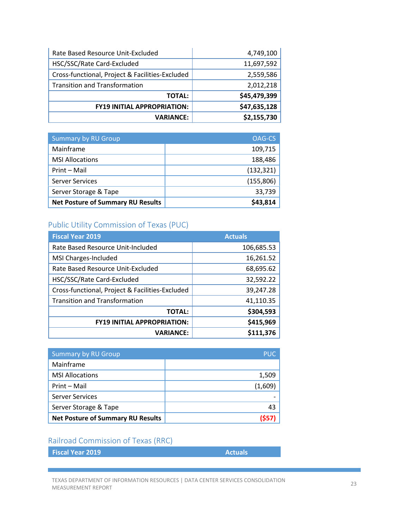| Rate Based Resource Unit-Excluded               | 4,749,100    |
|-------------------------------------------------|--------------|
| HSC/SSC/Rate Card-Excluded                      | 11,697,592   |
| Cross-functional, Project & Facilities-Excluded | 2,559,586    |
| <b>Transition and Transformation</b>            | 2,012,218    |
| <b>TOTAL:</b>                                   | \$45,479,399 |
| <b>FY19 INITIAL APPROPRIATION:</b>              | \$47,635,128 |
| <b>VARIANCE:</b>                                | \$2,155,730  |

| <b>Summary by RU Group</b>               | OAG-CS     |
|------------------------------------------|------------|
| Mainframe                                | 109,715    |
| <b>MSI Allocations</b>                   | 188,486    |
| Print - Mail                             | (132, 321) |
| <b>Server Services</b>                   | (155, 806) |
| Server Storage & Tape                    | 33,739     |
| <b>Net Posture of Summary RU Results</b> | \$43,814   |

#### Public Utility Commission of Texas (PUC)

| <b>Fiscal Year 2019</b>                         | <b>Actuals</b> |
|-------------------------------------------------|----------------|
| Rate Based Resource Unit-Included               | 106,685.53     |
| MSI Charges-Included                            | 16,261.52      |
| Rate Based Resource Unit-Excluded               | 68,695.62      |
| HSC/SSC/Rate Card-Excluded                      | 32,592.22      |
| Cross-functional, Project & Facilities-Excluded | 39,247.28      |
| <b>Transition and Transformation</b>            | 41,110.35      |
| <b>TOTAL:</b>                                   | \$304,593      |
| <b>FY19 INITIAL APPROPRIATION:</b>              | \$415,969      |
| <b>VARIANCE:</b>                                | \$111,376      |

| <b>Summary by RU Group</b>               | <b>PUC</b> |
|------------------------------------------|------------|
| Mainframe                                |            |
| <b>MSI Allocations</b>                   | 1,509      |
| Print - Mail                             | (1,609)    |
| <b>Server Services</b>                   |            |
| Server Storage & Tape                    | 43         |
| <b>Net Posture of Summary RU Results</b> | 1557       |

#### Railroad Commission of Texas (RRC)

| <b>Fiscal Year 2019</b> |  |  |
|-------------------------|--|--|
|                         |  |  |

**Actuals**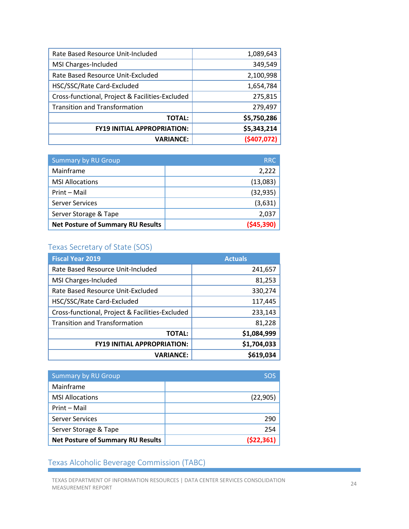| 1,089,643   |
|-------------|
| 349,549     |
| 2,100,998   |
| 1,654,784   |
| 275,815     |
| 279,497     |
| \$5,750,286 |
| \$5,343,214 |
| (5407,072)  |
|             |

| <b>Summary by RU Group</b>               | <b>RRC</b>  |
|------------------------------------------|-------------|
| Mainframe                                | 2,222       |
| <b>MSI Allocations</b>                   | (13,083)    |
| Print - Mail                             | (32, 935)   |
| <b>Server Services</b>                   | (3,631)     |
| Server Storage & Tape                    | 2,037       |
| <b>Net Posture of Summary RU Results</b> | ( \$45,390] |

# Texas Secretary of State (SOS)

| <b>Fiscal Year 2019</b>                         | <b>Actuals</b> |
|-------------------------------------------------|----------------|
| Rate Based Resource Unit-Included               | 241,657        |
| MSI Charges-Included                            | 81,253         |
| Rate Based Resource Unit-Excluded               | 330,274        |
| HSC/SSC/Rate Card-Excluded                      | 117,445        |
| Cross-functional, Project & Facilities-Excluded | 233,143        |
| <b>Transition and Transformation</b>            | 81,228         |
| <b>TOTAL:</b>                                   | \$1,084,999    |
| <b>FY19 INITIAL APPROPRIATION:</b>              | \$1,704,033    |
| <b>VARIANCE:</b>                                | \$619,034      |

| <b>Summary by RU Group</b>               | <b>SOS</b> |
|------------------------------------------|------------|
| Mainframe                                |            |
| <b>MSI Allocations</b>                   | (22, 905)  |
| Print - Mail                             |            |
| <b>Server Services</b>                   | 290        |
| Server Storage & Tape                    | 254        |
| <b>Net Posture of Summary RU Results</b> | (522, 361) |

#### Texas Alcoholic Beverage Commission (TABC)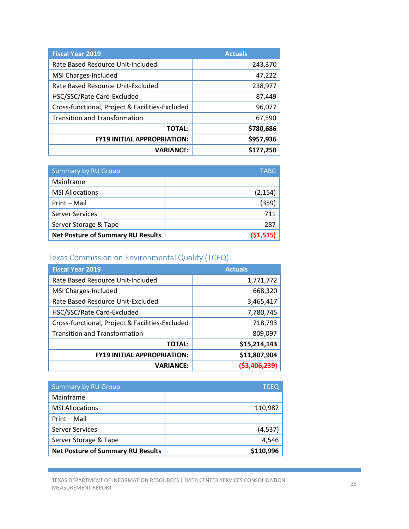| <b>Fiscal Year 2019</b>                         | <b>Actuals</b> |
|-------------------------------------------------|----------------|
| Rate Based Resource Unit-Included               | 243,370        |
| MSI Charges-Included                            | 47,222         |
| Rate Based Resource Unit-Excluded               | 238,977        |
| HSC/SSC/Rate Card-Excluded                      | 87,449         |
| Cross-functional, Project & Facilities-Excluded | 96,077         |
| <b>Transition and Transformation</b>            | 67,590         |
| <b>TOTAL:</b>                                   | \$780,686      |
| <b>FY19 INITIAL APPROPRIATION:</b>              | \$957,936      |
| <b>VARIANCE:</b>                                | \$177,250      |

| <b>Summary by RU Group</b>               | <b>TABC</b> |
|------------------------------------------|-------------|
| Mainframe                                |             |
| <b>MSI Allocations</b>                   | (2, 154)    |
| Print - Mail                             | (359)       |
| Server Services                          | 711         |
| Server Storage & Tape                    | 287         |
| <b>Net Posture of Summary RU Results</b> | (51, 515)   |

# Texas Commission on Environmental Quality (TCEQ)

| <b>Fiscal Year 2019</b>                         | <b>Actuals</b> |
|-------------------------------------------------|----------------|
| Rate Based Resource Unit-Included               | 1,771,772      |
| MSI Charges-Included                            | 668,320        |
| Rate Based Resource Unit-Excluded               | 3,465,417      |
| HSC/SSC/Rate Card-Excluded                      | 7,780,745      |
| Cross-functional, Project & Facilities-Excluded | 718,793        |
| <b>Transition and Transformation</b>            | 809,097        |
| <b>TOTAL:</b>                                   | \$15,214,143   |
| <b>FY19 INITIAL APPROPRIATION:</b>              | \$11,807,904   |
| <b>VARIANCE:</b>                                | ( \$3,406,239) |

| <b>Summary by RU Group</b>               | <b>TCEQ</b> |
|------------------------------------------|-------------|
| Mainframe                                |             |
| <b>MSI Allocations</b>                   | 110,987     |
| Print - Mail                             |             |
| <b>Server Services</b>                   | (4, 537)    |
| Server Storage & Tape                    | 4,546       |
| <b>Net Posture of Summary RU Results</b> | \$110,996   |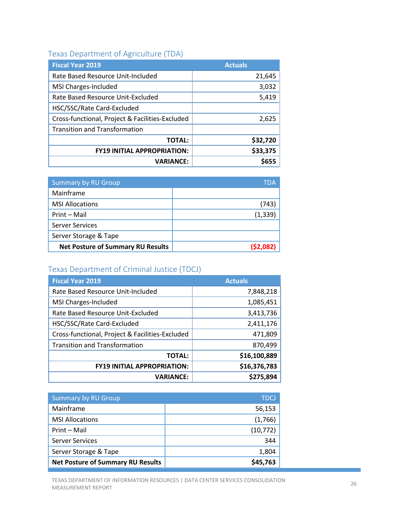# Texas Department of Agriculture (TDA)

| <b>Fiscal Year 2019</b>                         | <b>Actuals</b> |
|-------------------------------------------------|----------------|
| Rate Based Resource Unit-Included               | 21,645         |
| MSI Charges-Included                            | 3,032          |
| Rate Based Resource Unit-Excluded               | 5,419          |
| HSC/SSC/Rate Card-Excluded                      |                |
| Cross-functional, Project & Facilities-Excluded | 2,625          |
| <b>Transition and Transformation</b>            |                |
| <b>TOTAL:</b>                                   | \$32,720       |
| <b>FY19 INITIAL APPROPRIATION:</b>              | \$33,375       |
| <b>VARIANCE:</b>                                |                |

| <b>Summary by RU Group</b>               | TDA      |
|------------------------------------------|----------|
| Mainframe                                |          |
| <b>MSI Allocations</b>                   | (743)    |
| Print - Mail                             | (1, 339) |
| <b>Server Services</b>                   |          |
| Server Storage & Tape                    |          |
| <b>Net Posture of Summary RU Results</b> | (S2.082  |

#### Texas Department of Criminal Justice (TDCJ)

| <b>Fiscal Year 2019</b>                         | <b>Actuals</b> |
|-------------------------------------------------|----------------|
| Rate Based Resource Unit-Included               | 7,848,218      |
| MSI Charges-Included                            | 1,085,451      |
| Rate Based Resource Unit-Excluded               | 3,413,736      |
| HSC/SSC/Rate Card-Excluded                      | 2,411,176      |
| Cross-functional, Project & Facilities-Excluded | 471,809        |
| <b>Transition and Transformation</b>            | 870,499        |
| <b>TOTAL:</b>                                   | \$16,100,889   |
| <b>FY19 INITIAL APPROPRIATION:</b>              | \$16,376,783   |
| <b>VARIANCE:</b>                                | \$275,894      |

| <b>Summary by RU Group</b>               | <b>TDCJ</b> |
|------------------------------------------|-------------|
| Mainframe                                | 56,153      |
| <b>MSI Allocations</b>                   | (1,766)     |
| Print - Mail                             | (10, 772)   |
| <b>Server Services</b>                   | 344         |
| Server Storage & Tape                    | 1,804       |
| <b>Net Posture of Summary RU Results</b> | \$45,763    |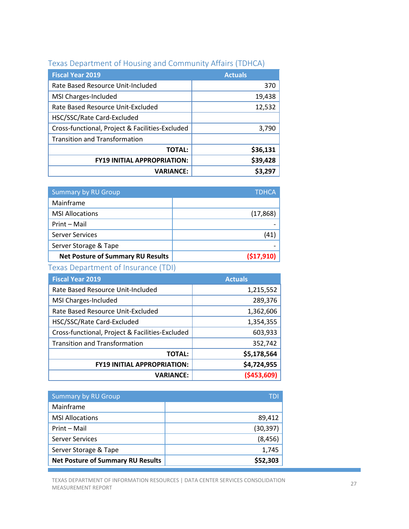| <b>Fiscal Year 2019</b>                         | <b>Actuals</b> |
|-------------------------------------------------|----------------|
| Rate Based Resource Unit-Included               | 370            |
| MSI Charges-Included                            | 19,438         |
| Rate Based Resource Unit-Excluded               | 12,532         |
| HSC/SSC/Rate Card-Excluded                      |                |
| Cross-functional, Project & Facilities-Excluded | 3,790          |
| <b>Transition and Transformation</b>            |                |
| <b>TOTAL:</b>                                   | \$36,131       |
| <b>FY19 INITIAL APPROPRIATION:</b>              | \$39,428       |
| <b>VARIANCE:</b>                                |                |

# Texas Department of Housing and Community Affairs (TDHCA)

| <b>Summary by RU Group</b>               | <b>TDHCA</b> |
|------------------------------------------|--------------|
| Mainframe                                |              |
| <b>MSI Allocations</b>                   | (17, 868)    |
| Print - Mail                             |              |
| <b>Server Services</b>                   | (41)         |
| Server Storage & Tape                    |              |
| <b>Net Posture of Summary RU Results</b> | (517, 910)   |

# Texas Department of Insurance (TDI)

| <b>Fiscal Year 2019</b>                         | <b>Actuals</b> |
|-------------------------------------------------|----------------|
| Rate Based Resource Unit-Included               | 1,215,552      |
| MSI Charges-Included                            | 289,376        |
| Rate Based Resource Unit-Excluded               | 1,362,606      |
| HSC/SSC/Rate Card-Excluded                      | 1,354,355      |
| Cross-functional, Project & Facilities-Excluded | 603,933        |
| <b>Transition and Transformation</b>            | 352,742        |
| <b>TOTAL:</b>                                   | \$5,178,564    |
| <b>FY19 INITIAL APPROPRIATION:</b>              | \$4,724,955    |
| <b>VARIANCE:</b>                                | ( \$453,609]   |

| <b>Summary by RU Group</b>               | TDI       |
|------------------------------------------|-----------|
| Mainframe                                |           |
| <b>MSI Allocations</b>                   | 89,412    |
| Print - Mail                             | (30, 397) |
| <b>Server Services</b>                   | (8, 456)  |
| Server Storage & Tape                    | 1,745     |
| <b>Net Posture of Summary RU Results</b> | \$52,303  |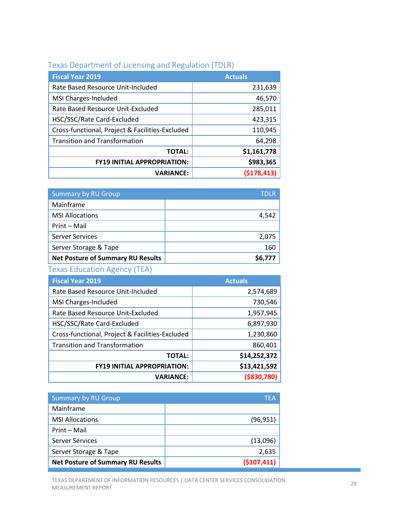# Texas Department of Licensing and Regulation (TDLR)

| <b>Fiscal Year 2019</b>                         | <b>Actuals</b> |
|-------------------------------------------------|----------------|
| Rate Based Resource Unit-Included               | 231,639        |
| MSI Charges-Included                            | 46,570         |
| Rate Based Resource Unit-Excluded               | 285,011        |
| HSC/SSC/Rate Card-Excluded                      | 423,315        |
| Cross-functional, Project & Facilities-Excluded | 110,945        |
| <b>Transition and Transformation</b>            | 64,298         |
| <b>TOTAL:</b>                                   | \$1,161,778    |
| <b>FY19 INITIAL APPROPRIATION:</b>              | \$983,365      |
| <b>VARIANCE:</b>                                | (5178, 413)    |

| <b>Summary by RU Group</b>               | TDI R |
|------------------------------------------|-------|
| Mainframe                                |       |
| <b>MSI Allocations</b>                   | 4.542 |
| Print - Mail                             |       |
| <b>Server Services</b>                   | 2,075 |
| Server Storage & Tape                    | 160   |
| <b>Net Posture of Summary RU Results</b> |       |

# Texas Education Agency (TEA)

| <b>Fiscal Year 2019</b>                         | <b>Actuals</b> |
|-------------------------------------------------|----------------|
| Rate Based Resource Unit-Included               | 2,574,689      |
| MSI Charges-Included                            | 730,546        |
| Rate Based Resource Unit-Excluded               | 1,957,945      |
| HSC/SSC/Rate Card-Excluded                      | 6,897,930      |
| Cross-functional, Project & Facilities-Excluded | 1,230,860      |
| <b>Transition and Transformation</b>            | 860,401        |
| <b>TOTAL:</b>                                   | \$14,252,372   |
| <b>FY19 INITIAL APPROPRIATION:</b>              | \$13,421,592   |
| <b>VARIANCE:</b>                                | ( \$830, 780)  |

| <b>Summary by RU Group</b>               | TFA         |
|------------------------------------------|-------------|
| Mainframe                                |             |
| <b>MSI Allocations</b>                   | (96, 951)   |
| Print - Mail                             |             |
| <b>Server Services</b>                   | (13,096)    |
| Server Storage & Tape                    | 2,635       |
| <b>Net Posture of Summary RU Results</b> | (\$107,411) |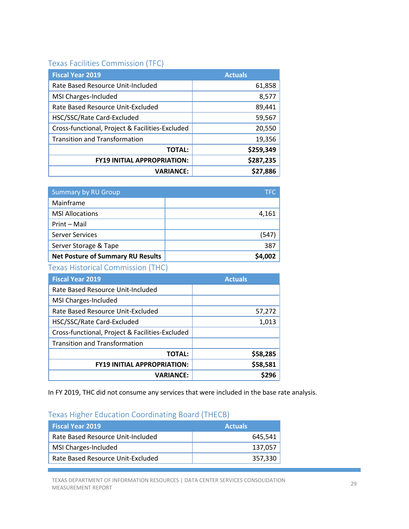#### Texas Facilities Commission (TFC)

| <b>Fiscal Year 2019</b>                         | <b>Actuals</b> |
|-------------------------------------------------|----------------|
| Rate Based Resource Unit-Included               | 61,858         |
| MSI Charges-Included                            | 8,577          |
| Rate Based Resource Unit-Excluded               | 89,441         |
| HSC/SSC/Rate Card-Excluded                      | 59,567         |
| Cross-functional, Project & Facilities-Excluded | 20,550         |
| <b>Transition and Transformation</b>            | 19,356         |
| <b>TOTAL:</b>                                   | \$259,349      |
| <b>FY19 INITIAL APPROPRIATION:</b>              | \$287,235      |
| <b>VARIANCE:</b>                                | \$27,886       |

| <b>Summary by RU Group</b>               | TFC.   |
|------------------------------------------|--------|
| Mainframe                                |        |
| <b>MSI Allocations</b>                   | 4,161  |
| Print - Mail                             |        |
| <b>Server Services</b>                   | (54    |
| Server Storage & Tape                    | 387    |
| <b>Net Posture of Summary RU Results</b> | S4.002 |

Texas Historical Commission (THC)

| <b>Fiscal Year 2019</b>                         | <b>Actuals</b> |
|-------------------------------------------------|----------------|
| Rate Based Resource Unit-Included               |                |
| MSI Charges-Included                            |                |
| Rate Based Resource Unit-Excluded               | 57,272         |
| HSC/SSC/Rate Card-Excluded                      | 1,013          |
| Cross-functional, Project & Facilities-Excluded |                |
| <b>Transition and Transformation</b>            |                |
| <b>TOTAL:</b>                                   | \$58,285       |
| <b>FY19 INITIAL APPROPRIATION:</b>              | \$58,581       |
| <b>VARIANCE:</b>                                | S296           |

In FY 2019, THC did not consume any services that were included in the base rate analysis.

### Texas Higher Education Coordinating Board (THECB)

| <b>Fiscal Year 2019</b>           | <b>Actuals</b> |
|-----------------------------------|----------------|
| Rate Based Resource Unit-Included | 645.541        |
| MSI Charges-Included              | 137.057        |
| Rate Based Resource Unit-Excluded | 357,330        |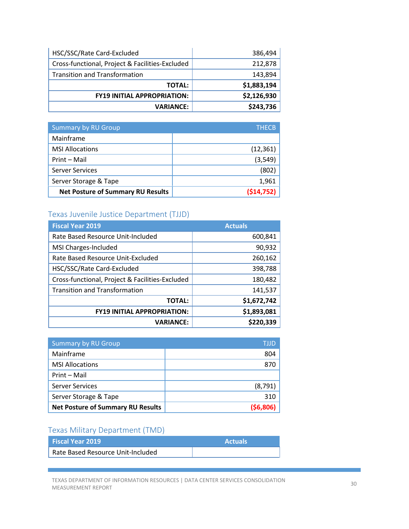| 386,494     |
|-------------|
| 212,878     |
| 143,894     |
| \$1,883,194 |
| \$2,126,930 |
| \$243,736   |
|             |

| <b>Summary by RU Group</b>               | <b>THECB</b> |
|------------------------------------------|--------------|
| Mainframe                                |              |
| <b>MSI Allocations</b>                   | (12, 361)    |
| Print - Mail                             | (3, 549)     |
| <b>Server Services</b>                   | (802)        |
| Server Storage & Tape                    | 1,961        |
| <b>Net Posture of Summary RU Results</b> | (514, 752)   |

# Texas Juvenile Justice Department (TJJD)

| <b>Fiscal Year 2019</b>                         | <b>Actuals</b> |
|-------------------------------------------------|----------------|
| Rate Based Resource Unit-Included               | 600,841        |
| MSI Charges-Included                            | 90,932         |
| Rate Based Resource Unit-Excluded               | 260,162        |
| HSC/SSC/Rate Card-Excluded                      | 398,788        |
| Cross-functional, Project & Facilities-Excluded | 180,482        |
| <b>Transition and Transformation</b>            | 141,537        |
| <b>TOTAL:</b>                                   | \$1,672,742    |
| <b>FY19 INITIAL APPROPRIATION:</b>              | \$1,893,081    |
| <b>VARIANCE:</b>                                | \$220,339      |

| <b>Summary by RU Group</b>               | TIJD     |
|------------------------------------------|----------|
| Mainframe                                | 804      |
| <b>MSI Allocations</b>                   | 870      |
| Print - Mail                             |          |
| <b>Server Services</b>                   | (8,791)  |
| Server Storage & Tape                    | 310      |
| <b>Net Posture of Summary RU Results</b> | (56,806) |

# Texas Military Department (TMD)

| l Fiscal Year 2019                | <b>Actuals</b> |
|-----------------------------------|----------------|
| Rate Based Resource Unit-Included |                |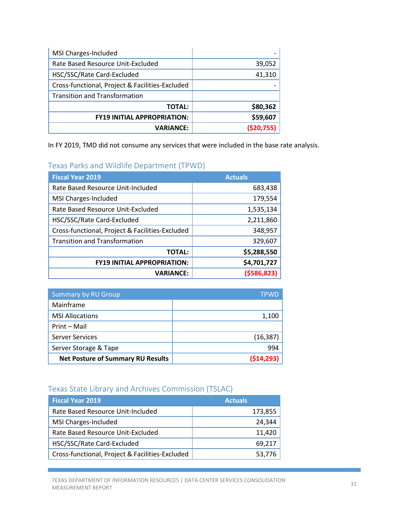| MSI Charges-Included                            |              |
|-------------------------------------------------|--------------|
| Rate Based Resource Unit-Excluded               | 39,052       |
| HSC/SSC/Rate Card-Excluded                      | 41,310       |
| Cross-functional, Project & Facilities-Excluded |              |
| <b>Transition and Transformation</b>            |              |
| <b>TOTAL:</b>                                   | \$80,362     |
| <b>FY19 INITIAL APPROPRIATION:</b>              | \$59,607     |
| <b>VARIANCE:</b>                                | ( \$20, 755) |

In FY 2019, TMD did not consume any services that were included in the base rate analysis.

#### Texas Parks and Wildlife Department (TPWD)

| <b>Fiscal Year 2019</b>                         | <b>Actuals</b> |
|-------------------------------------------------|----------------|
| Rate Based Resource Unit-Included               | 683,438        |
| MSI Charges-Included                            | 179,554        |
| Rate Based Resource Unit-Excluded               | 1,535,134      |
| HSC/SSC/Rate Card-Excluded                      | 2,211,860      |
| Cross-functional, Project & Facilities-Excluded | 348,957        |
| <b>Transition and Transformation</b>            | 329,607        |
| <b>TOTAL:</b>                                   | \$5,288,550    |
| <b>FY19 INITIAL APPROPRIATION:</b>              | \$4,701,727    |
| <b>VARIANCE:</b>                                | ( \$586, 823)  |

| <b>Summary by RU Group</b>               | TPWD       |
|------------------------------------------|------------|
| Mainframe                                |            |
| <b>MSI Allocations</b>                   | 1,100      |
| Print - Mail                             |            |
| Server Services                          | (16, 387)  |
| Server Storage & Tape                    | 994        |
| <b>Net Posture of Summary RU Results</b> | (514, 293) |

#### Texas State Library and Archives Commission (TSLAC)

| <b>Fiscal Year 2019</b>                         | <b>Actuals</b> |
|-------------------------------------------------|----------------|
| Rate Based Resource Unit-Included               | 173,855        |
| MSI Charges-Included                            | 24.344         |
| Rate Based Resource Unit-Excluded               | 11.420         |
| HSC/SSC/Rate Card-Excluded                      | 69.217         |
| Cross-functional, Project & Facilities-Excluded | 53,776         |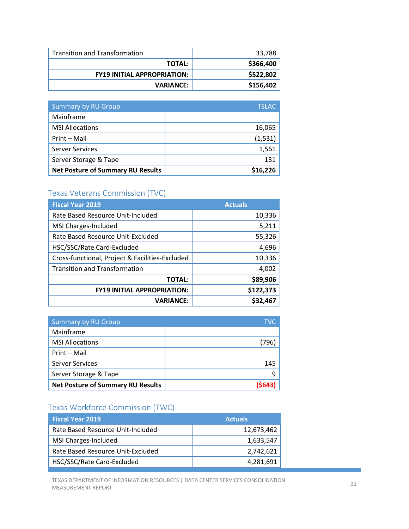| Transition and Transformation      | 33,788    |
|------------------------------------|-----------|
| <b>TOTAL:</b>                      | \$366,400 |
| <b>FY19 INITIAL APPROPRIATION:</b> | \$522,802 |
| <b>VARIANCE:</b>                   | \$156,402 |

| <b>Summary by RU Group</b>               | <b>TSLAC</b> |
|------------------------------------------|--------------|
| Mainframe                                |              |
| <b>MSI Allocations</b>                   | 16,065       |
| Print - Mail                             | (1,531)      |
| <b>Server Services</b>                   | 1,561        |
| Server Storage & Tape                    | 131          |
| <b>Net Posture of Summary RU Results</b> | \$16,226     |

# Texas Veterans Commission (TVC)

| <b>Fiscal Year 2019</b>                         | <b>Actuals</b> |
|-------------------------------------------------|----------------|
| Rate Based Resource Unit-Included               | 10,336         |
| MSI Charges-Included                            | 5,211          |
| Rate Based Resource Unit-Excluded               | 55,326         |
| HSC/SSC/Rate Card-Excluded                      | 4,696          |
| Cross-functional, Project & Facilities-Excluded | 10,336         |
| <b>Transition and Transformation</b>            | 4,002          |
| <b>TOTAL:</b>                                   | \$89,906       |
| <b>FY19 INITIAL APPROPRIATION:</b>              | \$122,373      |
| <b>VARIANCE:</b>                                | \$32,467       |

| <b>Summary by RU Group</b>               | <b>TVC</b> |
|------------------------------------------|------------|
| Mainframe                                |            |
| <b>MSI Allocations</b>                   | (796)      |
| Print - Mail                             |            |
| Server Services                          | 145        |
| Server Storage & Tape                    | q          |
| <b>Net Posture of Summary RU Results</b> |            |

# Texas Workforce Commission (TWC)

| <b>Fiscal Year 2019</b>           | <b>Actuals</b> |
|-----------------------------------|----------------|
| Rate Based Resource Unit-Included | 12,673,462     |
| MSI Charges-Included              | 1,633,547      |
| Rate Based Resource Unit-Excluded | 2,742,621      |
| HSC/SSC/Rate Card-Excluded        | 4,281,691      |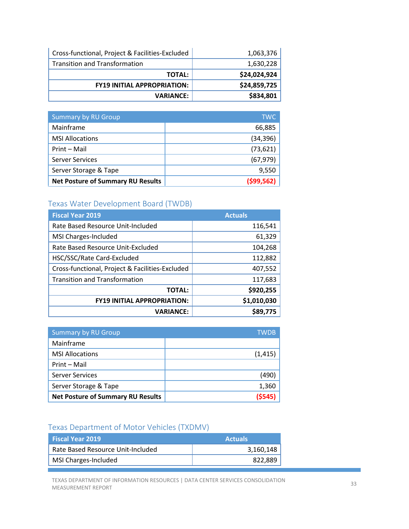| Cross-functional, Project & Facilities-Excluded | 1,063,376    |
|-------------------------------------------------|--------------|
| <b>Transition and Transformation</b>            | 1,630,228    |
| <b>TOTAL:</b>                                   | \$24,024,924 |
| <b>FY19 INITIAL APPROPRIATION:</b>              | \$24,859,725 |
| <b>VARIANCE:</b>                                | \$834,801    |

| <b>Summary by RU Group</b>               | <b>TWC</b> |
|------------------------------------------|------------|
| Mainframe                                | 66,885     |
| <b>MSI Allocations</b>                   | (34, 396)  |
| Print - Mail                             | (73, 621)  |
| <b>Server Services</b>                   | (67, 979)  |
| Server Storage & Tape                    | 9,550      |
| <b>Net Posture of Summary RU Results</b> | (599, 562) |

# Texas Water Development Board (TWDB)

| <b>Fiscal Year 2019</b>                         | <b>Actuals</b> |
|-------------------------------------------------|----------------|
| Rate Based Resource Unit-Included               | 116,541        |
| MSI Charges-Included                            | 61,329         |
| Rate Based Resource Unit-Excluded               | 104,268        |
| HSC/SSC/Rate Card-Excluded                      | 112,882        |
| Cross-functional, Project & Facilities-Excluded | 407,552        |
| <b>Transition and Transformation</b>            | 117,683        |
| <b>TOTAL:</b>                                   | \$920,255      |
| <b>FY19 INITIAL APPROPRIATION:</b>              | \$1,010,030    |
| <b>VARIANCE:</b>                                | \$89,775       |

| <b>Summary by RU Group</b>               | <b>TWDB</b> |
|------------------------------------------|-------------|
| Mainframe                                |             |
| <b>MSI Allocations</b>                   | (1, 415)    |
| Print - Mail                             |             |
| <b>Server Services</b>                   | (490)       |
| Server Storage & Tape                    | 1,360       |
| <b>Net Posture of Summary RU Results</b> | (5545)      |

# Texas Department of Motor Vehicles (TXDMV)

| <b>Actuals</b> |
|----------------|
| 3,160,148      |
| 822.889        |
|                |

TEXAS DEPARTMENT OF INFORMATION RESOURCES | DATA CENTER SERVICES CONSOLIDATION 33<br>MEASUREMENT REPORT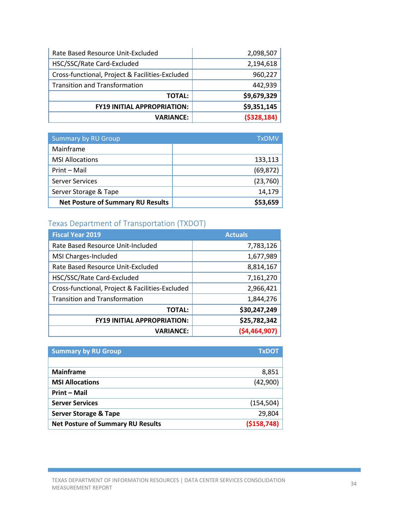| Rate Based Resource Unit-Excluded               | 2,098,507     |
|-------------------------------------------------|---------------|
| HSC/SSC/Rate Card-Excluded                      | 2,194,618     |
| Cross-functional, Project & Facilities-Excluded | 960,227       |
| <b>Transition and Transformation</b>            | 442,939       |
| <b>TOTAL:</b>                                   | \$9,679,329   |
| <b>FY19 INITIAL APPROPRIATION:</b>              | \$9,351,145   |
| <b>VARIANCE:</b>                                | ( \$328, 184) |

| <b>Summary by RU Group</b>               | TxDMV     |
|------------------------------------------|-----------|
| Mainframe                                |           |
| <b>MSI Allocations</b>                   | 133,113   |
| Print - Mail                             | (69, 872) |
| <b>Server Services</b>                   | (23,760)  |
| Server Storage & Tape                    | 14,179    |
| <b>Net Posture of Summary RU Results</b> | \$53,659  |

# Texas Department of Transportation (TXDOT)

| <b>Fiscal Year 2019</b>                         | <b>Actuals</b> |
|-------------------------------------------------|----------------|
| Rate Based Resource Unit-Included               | 7,783,126      |
| MSI Charges-Included                            | 1,677,989      |
| Rate Based Resource Unit-Excluded               | 8,814,167      |
| HSC/SSC/Rate Card-Excluded                      | 7,161,270      |
| Cross-functional, Project & Facilities-Excluded | 2,966,421      |
| <b>Transition and Transformation</b>            | 1,844,276      |
| <b>TOTAL:</b>                                   | \$30,247,249   |
| <b>FY19 INITIAL APPROPRIATION:</b>              | \$25,782,342   |
| <b>VARIANCE:</b>                                | ( \$4,464,907) |

| <b>Summary by RU Group</b>               | <b>TxDOT</b>  |
|------------------------------------------|---------------|
|                                          |               |
| <b>Mainframe</b>                         | 8,851         |
| <b>MSI Allocations</b>                   | (42,900)      |
| <b>Print - Mail</b>                      |               |
| <b>Server Services</b>                   | (154, 504)    |
| <b>Server Storage &amp; Tape</b>         | 29,804        |
| <b>Net Posture of Summary RU Results</b> | ( \$158, 748) |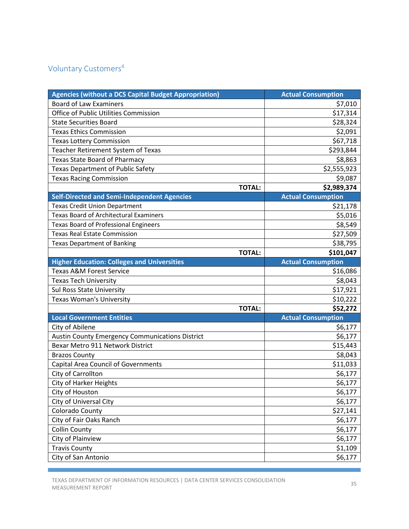# <span id="page-34-0"></span>Voluntary Customers4

| <b>Agencies (without a DCS Capital Budget Appropriation)</b> | <b>Actual Consumption</b>    |
|--------------------------------------------------------------|------------------------------|
| <b>Board of Law Examiners</b>                                | \$7,010                      |
| Office of Public Utilities Commission                        | \$17,314                     |
| <b>State Securities Board</b>                                | \$28,324                     |
| <b>Texas Ethics Commission</b>                               | \$2,091                      |
| <b>Texas Lottery Commission</b>                              | \$67,718                     |
| Teacher Retirement System of Texas                           | \$293,844                    |
| <b>Texas State Board of Pharmacy</b>                         | \$8,863                      |
| <b>Texas Department of Public Safety</b>                     | \$2,555,923                  |
| <b>Texas Racing Commission</b>                               | \$9,087                      |
|                                                              | \$2,989,374<br><b>TOTAL:</b> |
| <b>Self-Directed and Semi-Independent Agencies</b>           | <b>Actual Consumption</b>    |
| <b>Texas Credit Union Department</b>                         | \$21,178                     |
| <b>Texas Board of Architectural Examiners</b>                | \$5,016                      |
| <b>Texas Board of Professional Engineers</b>                 | \$8,549                      |
| <b>Texas Real Estate Commission</b>                          | \$27,509                     |
| <b>Texas Department of Banking</b>                           | \$38,795                     |
|                                                              | \$101,047<br><b>TOTAL:</b>   |
| <b>Higher Education: Colleges and Universities</b>           | <b>Actual Consumption</b>    |
| <b>Texas A&amp;M Forest Service</b>                          | \$16,086                     |
| <b>Texas Tech University</b>                                 | \$8,043                      |
| <b>Sul Ross State University</b>                             | \$17,921                     |
| <b>Texas Woman's University</b>                              | \$10,222                     |
|                                                              | <b>TOTAL:</b><br>\$52,272    |
| <b>Local Government Entities</b>                             | <b>Actual Consumption</b>    |
| City of Abilene                                              | \$6,177                      |
| <b>Austin County Emergency Communications District</b>       | \$6,177                      |
| Bexar Metro 911 Network District                             | \$15,443                     |
| <b>Brazos County</b>                                         | \$8,043                      |
| <b>Capital Area Council of Governments</b>                   | \$11,033                     |
| City of Carrollton                                           | \$6,177                      |
| <b>City of Harker Heights</b>                                | \$6,177                      |
| City of Houston                                              | \$6,177                      |
| City of Universal City                                       | \$6,177                      |
| Colorado County                                              | \$27,141                     |
| City of Fair Oaks Ranch                                      | \$6,177                      |
| <b>Collin County</b>                                         | \$6,177                      |
| City of Plainview                                            | \$6,177                      |
| <b>Travis County</b>                                         | \$1,109                      |
| City of San Antonio                                          | \$6,177                      |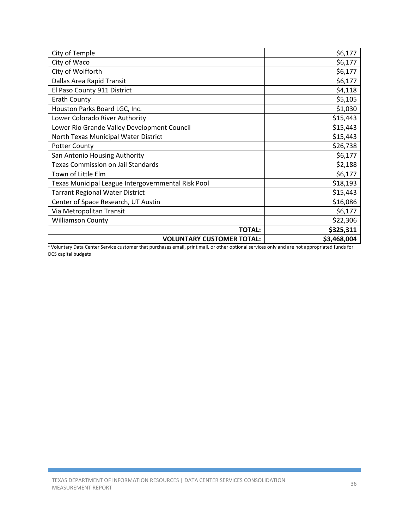| City of Temple                                     | \$6,177     |
|----------------------------------------------------|-------------|
| City of Waco                                       | \$6,177     |
| City of Wolfforth                                  | \$6,177     |
| Dallas Area Rapid Transit                          | \$6,177     |
| El Paso County 911 District                        | \$4,118     |
| <b>Erath County</b>                                | \$5,105     |
| Houston Parks Board LGC, Inc.                      | \$1,030     |
| Lower Colorado River Authority                     | \$15,443    |
| Lower Rio Grande Valley Development Council        | \$15,443    |
| North Texas Municipal Water District               | \$15,443    |
| <b>Potter County</b>                               | \$26,738    |
| San Antonio Housing Authority                      | \$6,177     |
| <b>Texas Commission on Jail Standards</b>          | \$2,188     |
| Town of Little Elm                                 | \$6,177     |
| Texas Municipal League Intergovernmental Risk Pool | \$18,193    |
| <b>Tarrant Regional Water District</b>             | \$15,443    |
| Center of Space Research, UT Austin                | \$16,086    |
| Via Metropolitan Transit                           | \$6,177     |
| <b>Williamson County</b>                           | \$22,306    |
| <b>TOTAL:</b>                                      | \$325,311   |
| <b>VOLUNTARY CUSTOMER TOTAL:</b>                   | \$3,468,004 |

<sup>4</sup> Voluntary Data Center Service customer that purchases email, print mail, or other optional services only and are not appropriated funds for DCS capital budgets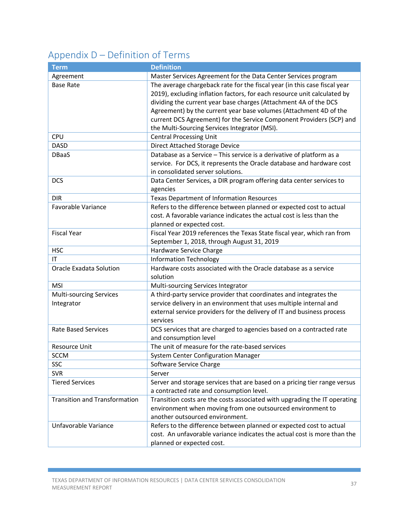# <span id="page-36-0"></span>Appendix D – Definition of Terms

| <b>Term</b>                          | <b>Definition</b>                                                                                                     |
|--------------------------------------|-----------------------------------------------------------------------------------------------------------------------|
| Agreement                            | Master Services Agreement for the Data Center Services program                                                        |
| <b>Base Rate</b>                     | The average chargeback rate for the fiscal year (in this case fiscal year                                             |
|                                      | 2019), excluding inflation factors, for each resource unit calculated by                                              |
|                                      | dividing the current year base charges (Attachment 4A of the DCS                                                      |
|                                      | Agreement) by the current year base volumes (Attachment 4D of the                                                     |
|                                      | current DCS Agreement) for the Service Component Providers (SCP) and                                                  |
|                                      | the Multi-Sourcing Services Integrator (MSI).                                                                         |
| <b>CPU</b>                           | <b>Central Processing Unit</b>                                                                                        |
| <b>DASD</b>                          | Direct Attached Storage Device                                                                                        |
| <b>DBaaS</b>                         | Database as a Service - This service is a derivative of platform as a                                                 |
|                                      | service. For DCS, it represents the Oracle database and hardware cost                                                 |
|                                      | in consolidated server solutions.                                                                                     |
| <b>DCS</b>                           | Data Center Services, a DIR program offering data center services to                                                  |
|                                      | agencies                                                                                                              |
| <b>DIR</b>                           | Texas Department of Information Resources                                                                             |
| Favorable Variance                   | Refers to the difference between planned or expected cost to actual                                                   |
|                                      | cost. A favorable variance indicates the actual cost is less than the                                                 |
|                                      | planned or expected cost.                                                                                             |
| <b>Fiscal Year</b>                   | Fiscal Year 2019 references the Texas State fiscal year, which ran from                                               |
|                                      | September 1, 2018, through August 31, 2019                                                                            |
| <b>HSC</b>                           | Hardware Service Charge                                                                                               |
| IT                                   | <b>Information Technology</b>                                                                                         |
| <b>Oracle Exadata Solution</b>       | Hardware costs associated with the Oracle database as a service                                                       |
|                                      | solution                                                                                                              |
| <b>MSI</b>                           | Multi-sourcing Services Integrator                                                                                    |
| Multi-sourcing Services              | A third-party service provider that coordinates and integrates the                                                    |
| Integrator                           | service delivery in an environment that uses multiple internal and                                                    |
|                                      | external service providers for the delivery of IT and business process                                                |
|                                      | services                                                                                                              |
| <b>Rate Based Services</b>           | DCS services that are charged to agencies based on a contracted rate                                                  |
| Resource Unit                        | and consumption level<br>The unit of measure for the rate-based services                                              |
| <b>SCCM</b>                          | <b>System Center Configuration Manager</b>                                                                            |
| SSC                                  |                                                                                                                       |
| <b>SVR</b>                           | Software Service Charge<br>Server                                                                                     |
| <b>Tiered Services</b>               |                                                                                                                       |
|                                      | Server and storage services that are based on a pricing tier range versus                                             |
| <b>Transition and Transformation</b> | a contracted rate and consumption level.<br>Transition costs are the costs associated with upgrading the IT operating |
|                                      | environment when moving from one outsourced environment to                                                            |
|                                      | another outsourced environment.                                                                                       |
| Unfavorable Variance                 | Refers to the difference between planned or expected cost to actual                                                   |
|                                      | cost. An unfavorable variance indicates the actual cost is more than the                                              |
|                                      | planned or expected cost.                                                                                             |
|                                      |                                                                                                                       |